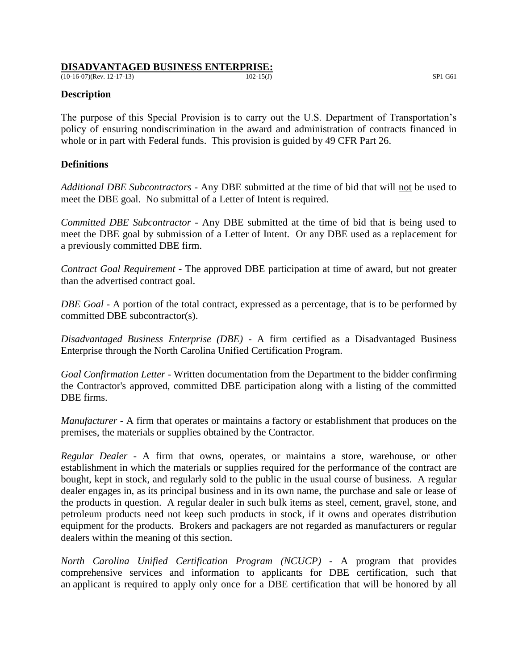#### **DISADVANTAGED BUSINESS ENTERPRISE:**

 $(10-16-07)(\text{Rev. } 12-17-13)$  SP1 G61

### **Description**

The purpose of this Special Provision is to carry out the U.S. Department of Transportation's policy of ensuring nondiscrimination in the award and administration of contracts financed in whole or in part with Federal funds. This provision is guided by 49 CFR Part 26.

### **Definitions**

*Additional DBE Subcontractors* - Any DBE submitted at the time of bid that will not be used to meet the DBE goal. No submittal of a Letter of Intent is required.

*Committed DBE Subcontractor* - Any DBE submitted at the time of bid that is being used to meet the DBE goal by submission of a Letter of Intent. Or any DBE used as a replacement for a previously committed DBE firm.

*Contract Goal Requirement* - The approved DBE participation at time of award, but not greater than the advertised contract goal.

*DBE Goal* - A portion of the total contract, expressed as a percentage, that is to be performed by committed DBE subcontractor(s).

*Disadvantaged Business Enterprise (DBE)* - A firm certified as a Disadvantaged Business Enterprise through the North Carolina Unified Certification Program.

*Goal Confirmation Letter -* Written documentation from the Department to the bidder confirming the Contractor's approved, committed DBE participation along with a listing of the committed DBE firms.

*Manufacturer* - A firm that operates or maintains a factory or establishment that produces on the premises, the materials or supplies obtained by the Contractor.

*Regular Dealer* - A firm that owns, operates, or maintains a store, warehouse, or other establishment in which the materials or supplies required for the performance of the contract are bought, kept in stock, and regularly sold to the public in the usual course of business. A regular dealer engages in, as its principal business and in its own name, the purchase and sale or lease of the products in question. A regular dealer in such bulk items as steel, cement, gravel, stone, and petroleum products need not keep such products in stock, if it owns and operates distribution equipment for the products. Brokers and packagers are not regarded as manufacturers or regular dealers within the meaning of this section.

*North Carolina Unified Certification Pr*o*gram (NCUCP)* - A program that provides comprehensive services and information to applicants for DBE certification, such that an applicant is required to apply only once for a DBE certification that will be honored by all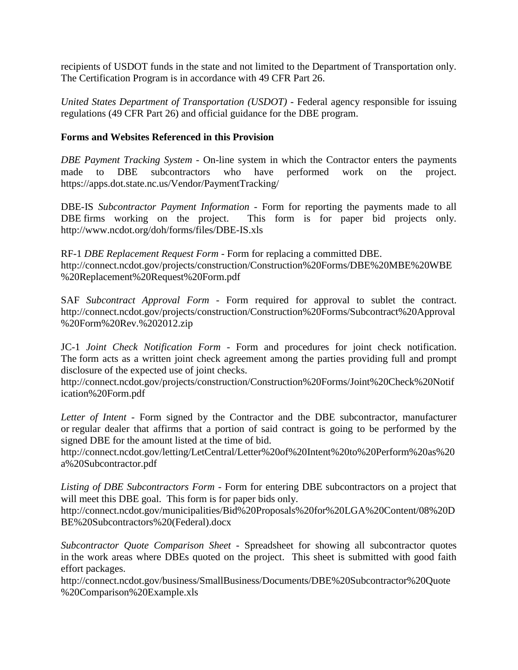recipients of USDOT funds in the state and not limited to the Department of Transportation only. The Certification Program is in accordance with 49 CFR Part 26.

*United States Department of Transportation (USDOT)* - Federal agency responsible for issuing regulations (49 CFR Part 26) and official guidance for the DBE program.

# **Forms and Websites Referenced in this Provision**

*DBE Payment Tracking System* - On-line system in which the Contractor enters the payments made to DBE subcontractors who have performed work on the project. <https://apps.dot.state.nc.us/Vendor/PaymentTracking/>

DBE-IS *Subcontractor Payment Information* - Form for reporting the payments made to all DBE firms working on the project. This form is for paper bid projects only. <http://www.ncdot.org/doh/forms/files/DBE-IS.xls>

RF-1 *DBE Replacement Request Form* - Form for replacing a committed DBE. http://connect.ncdot.gov/projects/construction/Construction%20Forms/DBE%20MBE%20WBE %20Replacement%20Request%20Form.pdf

SAF *Subcontract Approval Form* - Form required for approval to sublet the contract. http://connect.ncdot.gov/projects/construction/Construction%20Forms/Subcontract%20Approval %20Form%20Rev.%202012.zip

JC-1 *Joint Check Notification Form* - Form and procedures for joint check notification. The form acts as a written joint check agreement among the parties providing full and prompt disclosure of the expected use of joint checks.

http://connect.ncdot.gov/projects/construction/Construction%20Forms/Joint%20Check%20Notif ication%20Form.pdf

*Letter of Intent* - Form signed by the Contractor and the DBE subcontractor, manufacturer or regular dealer that affirms that a portion of said contract is going to be performed by the signed DBE for the amount listed at the time of bid.

http://connect.ncdot.gov/letting/LetCentral/Letter%20of%20Intent%20to%20Perform%20as%20 a%20Subcontractor.pdf

*Listing of DBE Subcontractors Form -* Form for entering DBE subcontractors on a project that will meet this DBE goal. This form is for paper bids only.

http://connect.ncdot.gov/municipalities/Bid%20Proposals%20for%20LGA%20Content/08%20D BE%20Subcontractors%20(Federal).docx

*Subcontractor Quote Comparison Sheet -* Spreadsheet for showing all subcontractor quotes in the work areas where DBEs quoted on the project. This sheet is submitted with good faith effort packages.

http://connect.ncdot.gov/business/SmallBusiness/Documents/DBE%20Subcontractor%20Quote %20Comparison%20Example.xls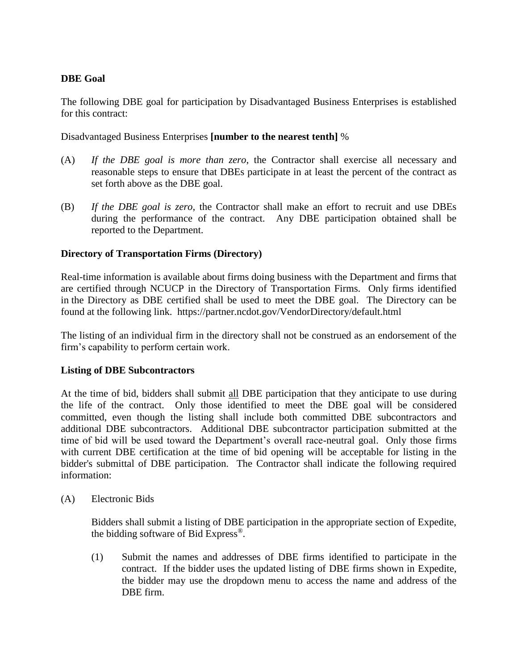# **DBE Goal**

The following DBE goal for participation by Disadvantaged Business Enterprises is established for this contract:

Disadvantaged Business Enterprises **[number to the nearest tenth]** %

- (A) *If the DBE goal is more than zero*, the Contractor shall exercise all necessary and reasonable steps to ensure that DBEs participate in at least the percent of the contract as set forth above as the DBE goal.
- (B) *If the DBE goal is zero*, the Contractor shall make an effort to recruit and use DBEs during the performance of the contract. Any DBE participation obtained shall be reported to the Department.

# **Directory of Transportation Firms (Directory)**

Real-time information is available about firms doing business with the Department and firms that are certified through NCUCP in the Directory of Transportation Firms. Only firms identified in the Directory as DBE certified shall be used to meet the DBE goal. The Directory can be found at the following link. https://partner.ncdot.gov/VendorDirectory/default.html

The listing of an individual firm in the directory shall not be construed as an endorsement of the firm's capability to perform certain work.

## **Listing of DBE Subcontractors**

At the time of bid, bidders shall submit all DBE participation that they anticipate to use during the life of the contract. Only those identified to meet the DBE goal will be considered committed, even though the listing shall include both committed DBE subcontractors and additional DBE subcontractors. Additional DBE subcontractor participation submitted at the time of bid will be used toward the Department's overall race-neutral goal. Only those firms with current DBE certification at the time of bid opening will be acceptable for listing in the bidder's submittal of DBE participation. The Contractor shall indicate the following required information:

(A) Electronic Bids

Bidders shall submit a listing of DBE participation in the appropriate section of Expedite, the bidding software of Bid Express®.

(1) Submit the names and addresses of DBE firms identified to participate in the contract. If the bidder uses the updated listing of DBE firms shown in Expedite, the bidder may use the dropdown menu to access the name and address of the DBE firm.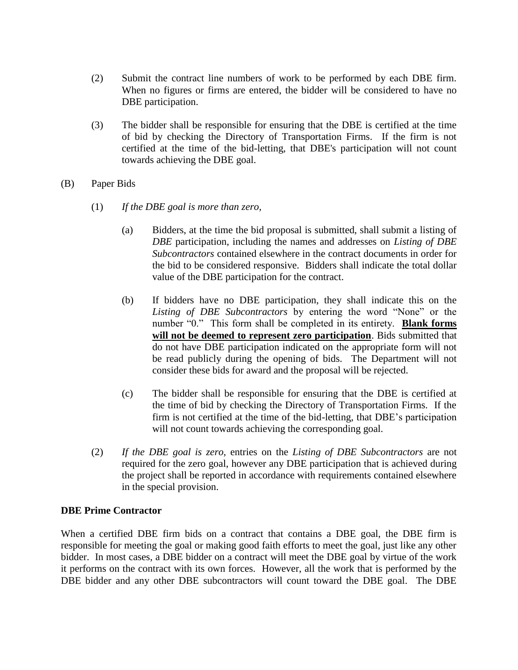- (2) Submit the contract line numbers of work to be performed by each DBE firm. When no figures or firms are entered, the bidder will be considered to have no DBE participation.
- (3) The bidder shall be responsible for ensuring that the DBE is certified at the time of bid by checking the Directory of Transportation Firms. If the firm is not certified at the time of the bid-letting, that DBE's participation will not count towards achieving the DBE goal.
- (B) Paper Bids
	- (1) *If the DBE goal is more than zero,*
		- (a) Bidders, at the time the bid proposal is submitted, shall submit a listing of *DBE* participation, including the names and addresses on *Listing of DBE Subcontractors* contained elsewhere in the contract documents in order for the bid to be considered responsive. Bidders shall indicate the total dollar value of the DBE participation for the contract.
		- (b) If bidders have no DBE participation, they shall indicate this on the *Listing of DBE Subcontractors* by entering the word "None" or the number "0." This form shall be completed in its entirety. **Blank forms will not be deemed to represent zero participation**. Bids submitted that do not have DBE participation indicated on the appropriate form will not be read publicly during the opening of bids. The Department will not consider these bids for award and the proposal will be rejected.
		- (c) The bidder shall be responsible for ensuring that the DBE is certified at the time of bid by checking the Directory of Transportation Firms. If the firm is not certified at the time of the bid-letting, that DBE's participation will not count towards achieving the corresponding goal.
	- (2) *If the DBE goal is zero,* entries on the *Listing of DBE Subcontractors* are not required for the zero goal, however any DBE participation that is achieved during the project shall be reported in accordance with requirements contained elsewhere in the special provision.

#### **DBE Prime Contractor**

When a certified DBE firm bids on a contract that contains a DBE goal, the DBE firm is responsible for meeting the goal or making good faith efforts to meet the goal, just like any other bidder. In most cases, a DBE bidder on a contract will meet the DBE goal by virtue of the work it performs on the contract with its own forces. However, all the work that is performed by the DBE bidder and any other DBE subcontractors will count toward the DBE goal. The DBE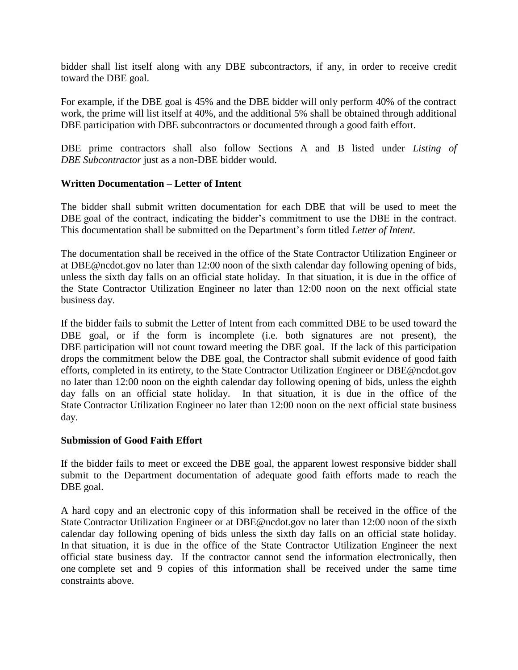bidder shall list itself along with any DBE subcontractors, if any, in order to receive credit toward the DBE goal.

For example, if the DBE goal is 45% and the DBE bidder will only perform 40% of the contract work, the prime will list itself at 40%, and the additional 5% shall be obtained through additional DBE participation with DBE subcontractors or documented through a good faith effort.

DBE prime contractors shall also follow Sections A and B listed under *Listing of DBE Subcontractor* just as a non-DBE bidder would.

# **Written Documentation – Letter of Intent**

The bidder shall submit written documentation for each DBE that will be used to meet the DBE goal of the contract, indicating the bidder's commitment to use the DBE in the contract. This documentation shall be submitted on the Department's form titled *Letter of Intent*.

The documentation shall be received in the office of the State Contractor Utilization Engineer or at DBE@ncdot.gov no later than 12:00 noon of the sixth calendar day following opening of bids, unless the sixth day falls on an official state holiday. In that situation, it is due in the office of the State Contractor Utilization Engineer no later than 12:00 noon on the next official state business day.

If the bidder fails to submit the Letter of Intent from each committed DBE to be used toward the DBE goal, or if the form is incomplete (i.e. both signatures are not present), the DBE participation will not count toward meeting the DBE goal. If the lack of this participation drops the commitment below the DBE goal, the Contractor shall submit evidence of good faith efforts, completed in its entirety, to the State Contractor Utilization Engineer or DBE@ncdot.gov no later than 12:00 noon on the eighth calendar day following opening of bids, unless the eighth day falls on an official state holiday. In that situation, it is due in the office of the State Contractor Utilization Engineer no later than 12:00 noon on the next official state business day.

## **Submission of Good Faith Effort**

If the bidder fails to meet or exceed the DBE goal, the apparent lowest responsive bidder shall submit to the Department documentation of adequate good faith efforts made to reach the DBE goal.

A hard copy and an electronic copy of this information shall be received in the office of the State Contractor Utilization Engineer or at DBE@ncdot.gov no later than 12:00 noon of the sixth calendar day following opening of bids unless the sixth day falls on an official state holiday. In that situation, it is due in the office of the State Contractor Utilization Engineer the next official state business day. If the contractor cannot send the information electronically, then one complete set and 9 copies of this information shall be received under the same time constraints above.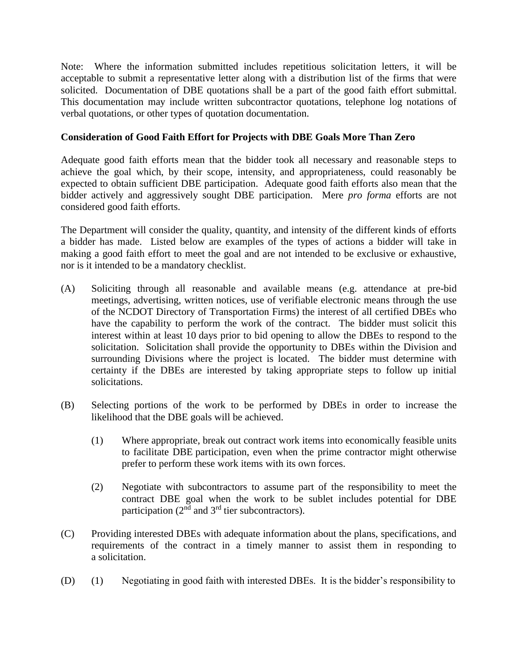Note: Where the information submitted includes repetitious solicitation letters, it will be acceptable to submit a representative letter along with a distribution list of the firms that were solicited. Documentation of DBE quotations shall be a part of the good faith effort submittal. This documentation may include written subcontractor quotations, telephone log notations of verbal quotations, or other types of quotation documentation.

# **Consideration of Good Faith Effort for Projects with DBE Goals More Than Zero**

Adequate good faith efforts mean that the bidder took all necessary and reasonable steps to achieve the goal which, by their scope, intensity, and appropriateness, could reasonably be expected to obtain sufficient DBE participation. Adequate good faith efforts also mean that the bidder actively and aggressively sought DBE participation. Mere *pro forma* efforts are not considered good faith efforts.

The Department will consider the quality, quantity, and intensity of the different kinds of efforts a bidder has made. Listed below are examples of the types of actions a bidder will take in making a good faith effort to meet the goal and are not intended to be exclusive or exhaustive, nor is it intended to be a mandatory checklist.

- (A) Soliciting through all reasonable and available means (e.g. attendance at pre-bid meetings, advertising, written notices, use of verifiable electronic means through the use of the NCDOT Directory of Transportation Firms) the interest of all certified DBEs who have the capability to perform the work of the contract. The bidder must solicit this interest within at least 10 days prior to bid opening to allow the DBEs to respond to the solicitation. Solicitation shall provide the opportunity to DBEs within the Division and surrounding Divisions where the project is located. The bidder must determine with certainty if the DBEs are interested by taking appropriate steps to follow up initial solicitations.
- (B) Selecting portions of the work to be performed by DBEs in order to increase the likelihood that the DBE goals will be achieved.
	- (1) Where appropriate, break out contract work items into economically feasible units to facilitate DBE participation, even when the prime contractor might otherwise prefer to perform these work items with its own forces.
	- (2) Negotiate with subcontractors to assume part of the responsibility to meet the contract DBE goal when the work to be sublet includes potential for DBE participation ( $2<sup>nd</sup>$  and  $3<sup>rd</sup>$  tier subcontractors).
- (C) Providing interested DBEs with adequate information about the plans, specifications, and requirements of the contract in a timely manner to assist them in responding to a solicitation.
- (D) (1) Negotiating in good faith with interested DBEs. It is the bidder's responsibility to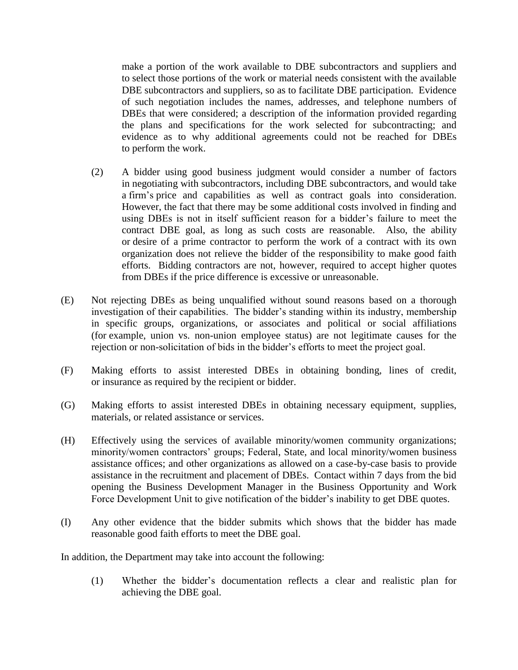make a portion of the work available to DBE subcontractors and suppliers and to select those portions of the work or material needs consistent with the available DBE subcontractors and suppliers, so as to facilitate DBE participation. Evidence of such negotiation includes the names, addresses, and telephone numbers of DBEs that were considered; a description of the information provided regarding the plans and specifications for the work selected for subcontracting; and evidence as to why additional agreements could not be reached for DBEs to perform the work.

- (2) A bidder using good business judgment would consider a number of factors in negotiating with subcontractors, including DBE subcontractors, and would take a firm's price and capabilities as well as contract goals into consideration. However, the fact that there may be some additional costs involved in finding and using DBEs is not in itself sufficient reason for a bidder's failure to meet the contract DBE goal, as long as such costs are reasonable. Also, the ability or desire of a prime contractor to perform the work of a contract with its own organization does not relieve the bidder of the responsibility to make good faith efforts. Bidding contractors are not, however, required to accept higher quotes from DBEs if the price difference is excessive or unreasonable.
- (E) Not rejecting DBEs as being unqualified without sound reasons based on a thorough investigation of their capabilities. The bidder's standing within its industry, membership in specific groups, organizations, or associates and political or social affiliations (for example, union vs. non-union employee status) are not legitimate causes for the rejection or non-solicitation of bids in the bidder's efforts to meet the project goal.
- (F) Making efforts to assist interested DBEs in obtaining bonding, lines of credit, or insurance as required by the recipient or bidder.
- (G) Making efforts to assist interested DBEs in obtaining necessary equipment, supplies, materials, or related assistance or services.
- (H) Effectively using the services of available minority/women community organizations; minority/women contractors' groups; Federal, State, and local minority/women business assistance offices; and other organizations as allowed on a case-by-case basis to provide assistance in the recruitment and placement of DBEs. Contact within 7 days from the bid opening the Business Development Manager in the Business Opportunity and Work Force Development Unit to give notification of the bidder's inability to get DBE quotes.
- (I) Any other evidence that the bidder submits which shows that the bidder has made reasonable good faith efforts to meet the DBE goal.

In addition, the Department may take into account the following:

(1) Whether the bidder's documentation reflects a clear and realistic plan for achieving the DBE goal.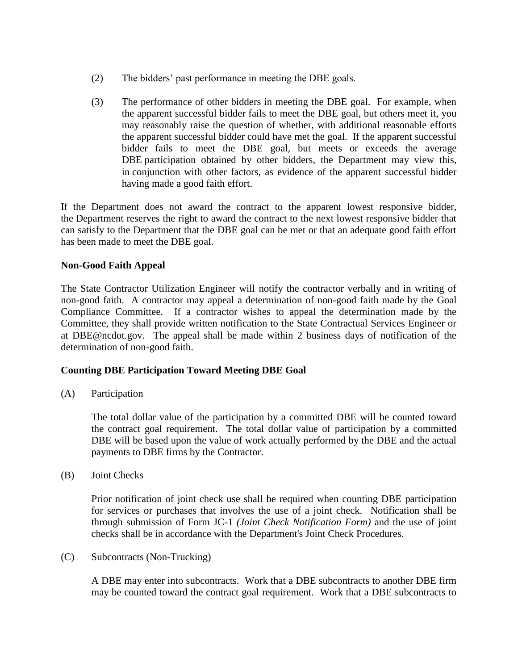- (2) The bidders' past performance in meeting the DBE goals.
- (3) The performance of other bidders in meeting the DBE goal. For example, when the apparent successful bidder fails to meet the DBE goal, but others meet it, you may reasonably raise the question of whether, with additional reasonable efforts the apparent successful bidder could have met the goal. If the apparent successful bidder fails to meet the DBE goal, but meets or exceeds the average DBE participation obtained by other bidders, the Department may view this, in conjunction with other factors, as evidence of the apparent successful bidder having made a good faith effort.

If the Department does not award the contract to the apparent lowest responsive bidder, the Department reserves the right to award the contract to the next lowest responsive bidder that can satisfy to the Department that the DBE goal can be met or that an adequate good faith effort has been made to meet the DBE goal.

# **Non-Good Faith Appeal**

The State Contractor Utilization Engineer will notify the contractor verbally and in writing of non-good faith. A contractor may appeal a determination of non-good faith made by the Goal Compliance Committee. If a contractor wishes to appeal the determination made by the Committee, they shall provide written notification to the State Contractual Services Engineer or at DBE@ncdot.gov. The appeal shall be made within 2 business days of notification of the determination of non-good faith.

## **Counting DBE Participation Toward Meeting DBE Goal**

(A) Participation

The total dollar value of the participation by a committed DBE will be counted toward the contract goal requirement. The total dollar value of participation by a committed DBE will be based upon the value of work actually performed by the DBE and the actual payments to DBE firms by the Contractor.

(B) Joint Checks

Prior notification of joint check use shall be required when counting DBE participation for services or purchases that involves the use of a joint check. Notification shall be through submission of Form JC-1 *(Joint Check Notification Form)* and the use of joint checks shall be in accordance with the Department's Joint Check Procedures.

(C) Subcontracts (Non-Trucking)

A DBE may enter into subcontracts. Work that a DBE subcontracts to another DBE firm may be counted toward the contract goal requirement. Work that a DBE subcontracts to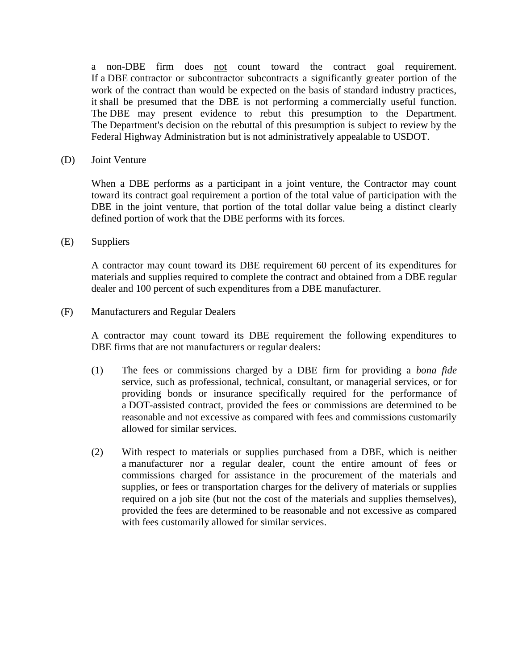a non-DBE firm does not count toward the contract goal requirement. If a DBE contractor or subcontractor subcontracts a significantly greater portion of the work of the contract than would be expected on the basis of standard industry practices, it shall be presumed that the DBE is not performing a commercially useful function. The DBE may present evidence to rebut this presumption to the Department. The Department's decision on the rebuttal of this presumption is subject to review by the Federal Highway Administration but is not administratively appealable to USDOT.

(D) Joint Venture

When a DBE performs as a participant in a joint venture, the Contractor may count toward its contract goal requirement a portion of the total value of participation with the DBE in the joint venture, that portion of the total dollar value being a distinct clearly defined portion of work that the DBE performs with its forces.

(E) Suppliers

A contractor may count toward its DBE requirement 60 percent of its expenditures for materials and supplies required to complete the contract and obtained from a DBE regular dealer and 100 percent of such expenditures from a DBE manufacturer.

(F) Manufacturers and Regular Dealers

A contractor may count toward its DBE requirement the following expenditures to DBE firms that are not manufacturers or regular dealers:

- (1) The fees or commissions charged by a DBE firm for providing a *bona fide* service, such as professional, technical, consultant, or managerial services, or for providing bonds or insurance specifically required for the performance of a DOT-assisted contract, provided the fees or commissions are determined to be reasonable and not excessive as compared with fees and commissions customarily allowed for similar services.
- (2) With respect to materials or supplies purchased from a DBE, which is neither a manufacturer nor a regular dealer, count the entire amount of fees or commissions charged for assistance in the procurement of the materials and supplies, or fees or transportation charges for the delivery of materials or supplies required on a job site (but not the cost of the materials and supplies themselves), provided the fees are determined to be reasonable and not excessive as compared with fees customarily allowed for similar services.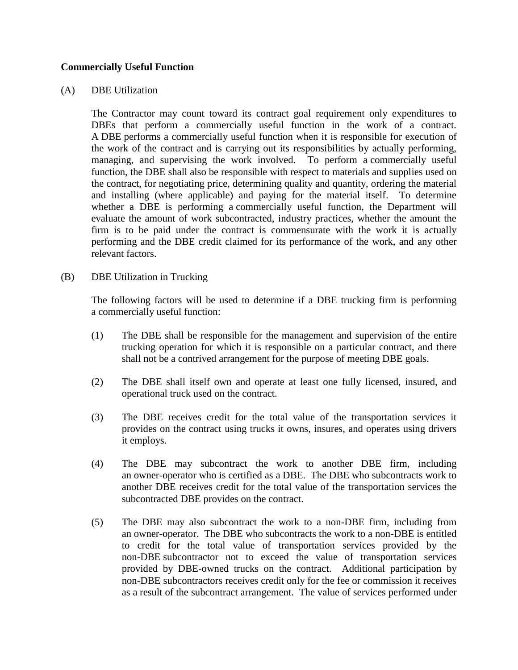## **Commercially Useful Function**

#### (A) DBE Utilization

The Contractor may count toward its contract goal requirement only expenditures to DBEs that perform a commercially useful function in the work of a contract. A DBE performs a commercially useful function when it is responsible for execution of the work of the contract and is carrying out its responsibilities by actually performing, managing, and supervising the work involved. To perform a commercially useful function, the DBE shall also be responsible with respect to materials and supplies used on the contract, for negotiating price, determining quality and quantity, ordering the material and installing (where applicable) and paying for the material itself. To determine whether a DBE is performing a commercially useful function, the Department will evaluate the amount of work subcontracted, industry practices, whether the amount the firm is to be paid under the contract is commensurate with the work it is actually performing and the DBE credit claimed for its performance of the work, and any other relevant factors.

(B) DBE Utilization in Trucking

The following factors will be used to determine if a DBE trucking firm is performing a commercially useful function:

- (1) The DBE shall be responsible for the management and supervision of the entire trucking operation for which it is responsible on a particular contract, and there shall not be a contrived arrangement for the purpose of meeting DBE goals.
- (2) The DBE shall itself own and operate at least one fully licensed, insured, and operational truck used on the contract.
- (3) The DBE receives credit for the total value of the transportation services it provides on the contract using trucks it owns, insures, and operates using drivers it employs.
- (4) The DBE may subcontract the work to another DBE firm, including an owner-operator who is certified as a DBE. The DBE who subcontracts work to another DBE receives credit for the total value of the transportation services the subcontracted DBE provides on the contract.
- (5) The DBE may also subcontract the work to a non-DBE firm, including from an owner-operator. The DBE who subcontracts the work to a non-DBE is entitled to credit for the total value of transportation services provided by the non-DBE subcontractor not to exceed the value of transportation services provided by DBE-owned trucks on the contract. Additional participation by non-DBE subcontractors receives credit only for the fee or commission it receives as a result of the subcontract arrangement. The value of services performed under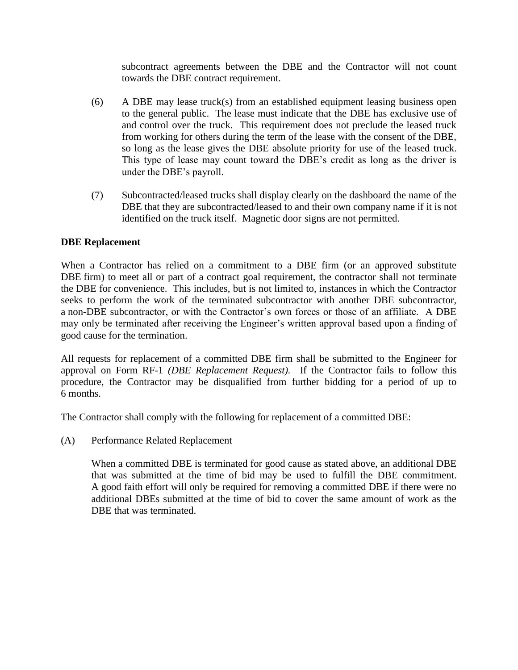subcontract agreements between the DBE and the Contractor will not count towards the DBE contract requirement.

- (6) A DBE may lease truck(s) from an established equipment leasing business open to the general public. The lease must indicate that the DBE has exclusive use of and control over the truck. This requirement does not preclude the leased truck from working for others during the term of the lease with the consent of the DBE, so long as the lease gives the DBE absolute priority for use of the leased truck. This type of lease may count toward the DBE's credit as long as the driver is under the DBE's payroll.
- (7) Subcontracted/leased trucks shall display clearly on the dashboard the name of the DBE that they are subcontracted/leased to and their own company name if it is not identified on the truck itself. Magnetic door signs are not permitted.

# **DBE Replacement**

When a Contractor has relied on a commitment to a DBE firm (or an approved substitute DBE firm) to meet all or part of a contract goal requirement, the contractor shall not terminate the DBE for convenience. This includes, but is not limited to, instances in which the Contractor seeks to perform the work of the terminated subcontractor with another DBE subcontractor, a non-DBE subcontractor, or with the Contractor's own forces or those of an affiliate. A DBE may only be terminated after receiving the Engineer's written approval based upon a finding of good cause for the termination.

All requests for replacement of a committed DBE firm shall be submitted to the Engineer for approval on Form RF-1 *(DBE Replacement Request).* If the Contractor fails to follow this procedure, the Contractor may be disqualified from further bidding for a period of up to 6 months.

The Contractor shall comply with the following for replacement of a committed DBE:

(A) Performance Related Replacement

When a committed DBE is terminated for good cause as stated above, an additional DBE that was submitted at the time of bid may be used to fulfill the DBE commitment. A good faith effort will only be required for removing a committed DBE if there were no additional DBEs submitted at the time of bid to cover the same amount of work as the DBE that was terminated.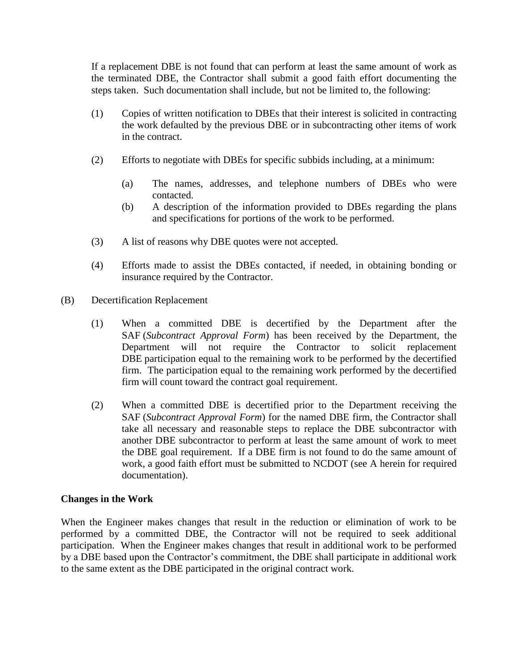If a replacement DBE is not found that can perform at least the same amount of work as the terminated DBE, the Contractor shall submit a good faith effort documenting the steps taken. Such documentation shall include, but not be limited to, the following:

- (1) Copies of written notification to DBEs that their interest is solicited in contracting the work defaulted by the previous DBE or in subcontracting other items of work in the contract.
- (2) Efforts to negotiate with DBEs for specific subbids including, at a minimum:
	- (a) The names, addresses, and telephone numbers of DBEs who were contacted.
	- (b) A description of the information provided to DBEs regarding the plans and specifications for portions of the work to be performed.
- (3) A list of reasons why DBE quotes were not accepted.
- (4) Efforts made to assist the DBEs contacted, if needed, in obtaining bonding or insurance required by the Contractor.
- (B) Decertification Replacement
	- (1) When a committed DBE is decertified by the Department after the SAF (*Subcontract Approval Form*) has been received by the Department, the Department will not require the Contractor to solicit replacement DBE participation equal to the remaining work to be performed by the decertified firm. The participation equal to the remaining work performed by the decertified firm will count toward the contract goal requirement.
	- (2) When a committed DBE is decertified prior to the Department receiving the SAF (*Subcontract Approval Form*) for the named DBE firm, the Contractor shall take all necessary and reasonable steps to replace the DBE subcontractor with another DBE subcontractor to perform at least the same amount of work to meet the DBE goal requirement. If a DBE firm is not found to do the same amount of work, a good faith effort must be submitted to NCDOT (see A herein for required documentation).

## **Changes in the Work**

When the Engineer makes changes that result in the reduction or elimination of work to be performed by a committed DBE, the Contractor will not be required to seek additional participation. When the Engineer makes changes that result in additional work to be performed by a DBE based upon the Contractor's commitment, the DBE shall participate in additional work to the same extent as the DBE participated in the original contract work.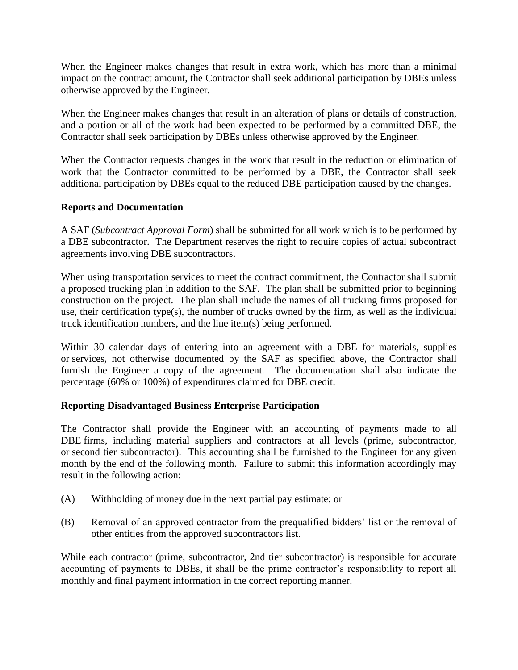When the Engineer makes changes that result in extra work, which has more than a minimal impact on the contract amount, the Contractor shall seek additional participation by DBEs unless otherwise approved by the Engineer.

When the Engineer makes changes that result in an alteration of plans or details of construction, and a portion or all of the work had been expected to be performed by a committed DBE, the Contractor shall seek participation by DBEs unless otherwise approved by the Engineer.

When the Contractor requests changes in the work that result in the reduction or elimination of work that the Contractor committed to be performed by a DBE, the Contractor shall seek additional participation by DBEs equal to the reduced DBE participation caused by the changes.

# **Reports and Documentation**

A SAF (*Subcontract Approval Form*) shall be submitted for all work which is to be performed by a DBE subcontractor. The Department reserves the right to require copies of actual subcontract agreements involving DBE subcontractors.

When using transportation services to meet the contract commitment, the Contractor shall submit a proposed trucking plan in addition to the SAF. The plan shall be submitted prior to beginning construction on the project. The plan shall include the names of all trucking firms proposed for use, their certification type(s), the number of trucks owned by the firm, as well as the individual truck identification numbers, and the line item(s) being performed.

Within 30 calendar days of entering into an agreement with a DBE for materials, supplies or services, not otherwise documented by the SAF as specified above, the Contractor shall furnish the Engineer a copy of the agreement. The documentation shall also indicate the percentage (60% or 100%) of expenditures claimed for DBE credit.

## **Reporting Disadvantaged Business Enterprise Participation**

The Contractor shall provide the Engineer with an accounting of payments made to all DBE firms, including material suppliers and contractors at all levels (prime, subcontractor, or second tier subcontractor). This accounting shall be furnished to the Engineer for any given month by the end of the following month. Failure to submit this information accordingly may result in the following action:

- (A) Withholding of money due in the next partial pay estimate; or
- (B) Removal of an approved contractor from the prequalified bidders' list or the removal of other entities from the approved subcontractors list.

While each contractor (prime, subcontractor, 2nd tier subcontractor) is responsible for accurate accounting of payments to DBEs, it shall be the prime contractor's responsibility to report all monthly and final payment information in the correct reporting manner.